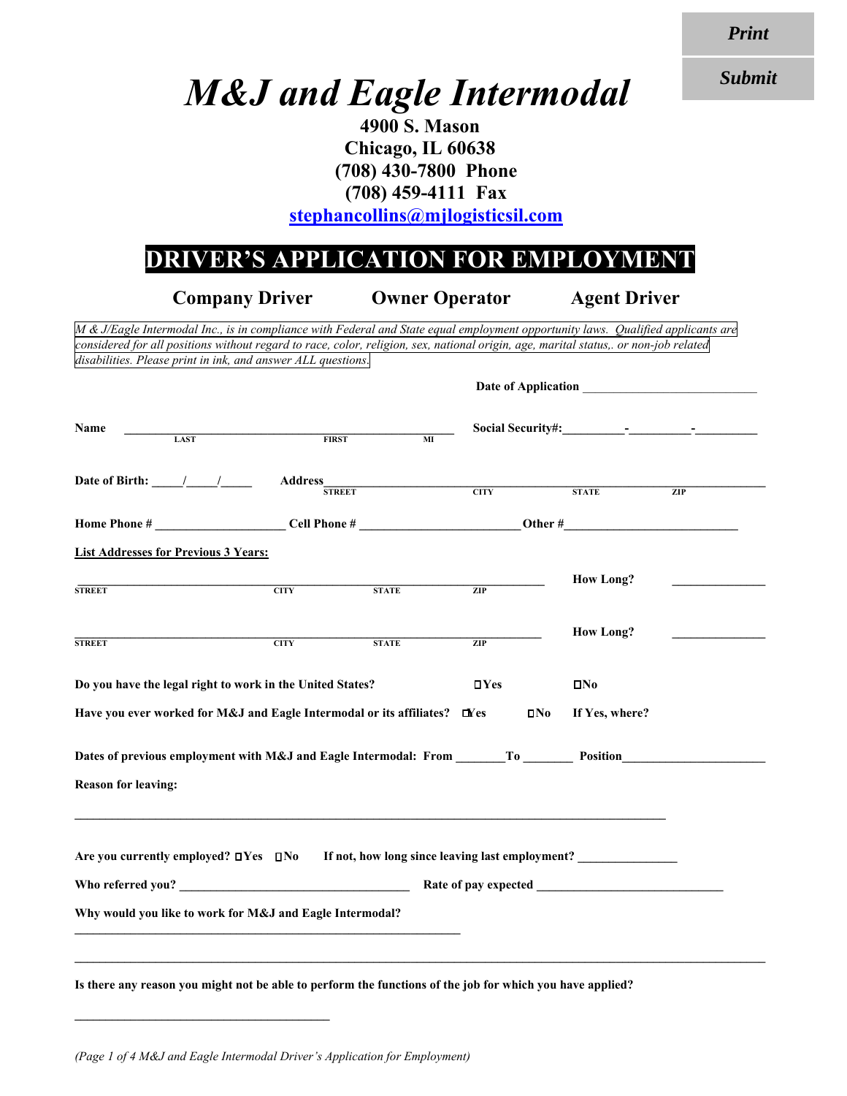*Print*

*Submit*

## *M&J and Eagle Intermodal*

**4900 S. Mason Chicago, IL 60638 (708) 430-7800 Phone (708) 459-4111 Fax stephancollins@mjlogisticsil.com** 

## **DRIVER'S APPLICATION FOR EMPLOYMENT**

**Company Driver Owner Operator Agent Driver**  *M & J/Eagle Intermodal Inc., is in compliance with Federal and State equal employment opportunity laws. Qualified applicants are considered for all positions without regard to race, color, religion, sex, national origin, age, marital status,. or non-job related disabilities. Please print in ink, and answer ALL questions*. Date of Application **Name \_\_\_\_\_\_\_\_\_\_\_\_\_\_\_\_\_\_\_\_\_\_\_\_\_\_\_\_\_\_\_\_\_\_\_\_\_\_\_\_\_\_\_\_\_\_\_\_\_\_\_\_\_ Social Security#:\_\_\_\_\_\_\_\_\_\_-\_\_\_\_\_\_\_\_\_\_-\_\_\_\_\_\_\_\_\_\_ LAST FIRST MI Date of Birth: \_\_\_\_\_/\_\_\_\_\_/\_\_\_\_\_ Address\_\_\_\_\_\_\_\_\_\_\_\_\_\_\_\_\_\_\_\_\_\_\_\_\_\_\_\_\_\_\_\_\_\_\_\_\_\_\_\_\_\_\_\_\_\_\_\_\_\_\_\_\_\_\_\_\_\_\_\_\_\_\_\_\_\_\_\_\_\_\_ STREET CITY STATE ZIP Home Phone # \_\_\_\_\_\_\_\_\_\_\_\_\_\_\_\_\_\_\_\_\_ Cell Phone # \_\_\_\_\_\_\_\_\_\_\_\_\_\_\_\_\_\_\_\_\_\_\_\_\_\_ Other #\_\_\_\_\_\_\_\_\_\_\_\_\_\_\_\_\_\_\_\_\_\_\_\_\_\_\_\_ List Addresses for Previous 3 Years: \_\_\_\_\_\_\_\_\_\_\_\_\_\_\_\_\_\_\_\_\_\_\_\_\_\_\_\_\_\_\_\_\_\_\_\_\_\_\_\_\_\_\_\_\_\_\_\_\_\_\_\_\_\_\_\_\_\_\_\_\_\_\_\_\_\_\_\_\_\_\_\_\_\_\_ How Long? \_\_\_\_\_\_\_\_\_\_\_\_\_\_\_ STREET EXAMPLE STATE STATE STATE STATE**  $\bf{How Long?}$ **STREET EXAMPLE 21P** CITY STATE STATE ZIP **Do you have the legal right to work in the United States? No***No* **No***No* **Have you ever worked for M&J and Eagle Intermodal or its affiliates?**  $\Box$  Yes  $\Box$  No If Yes, where? **Dates of previous employment with M&J and Eagle Intermodal: From To To Position Reason for leaving:**  Are you currently employed?  $\square Y$ es  $\square \text{No}$  If not, how long since leaving last employment? **Who referred you? \_\_\_\_\_\_\_\_\_\_\_\_\_\_\_\_\_\_\_\_\_\_\_\_\_\_\_\_\_\_\_\_\_\_\_\_\_ Rate of pay expected \_\_\_\_\_\_\_\_\_\_\_\_\_\_\_\_\_\_\_\_\_\_\_\_\_\_\_\_\_\_ Why would you like to work for M&J and Eagle Intermodal?** 

**Is there any reason you might not be able to perform the functions of the job for which you have applied?**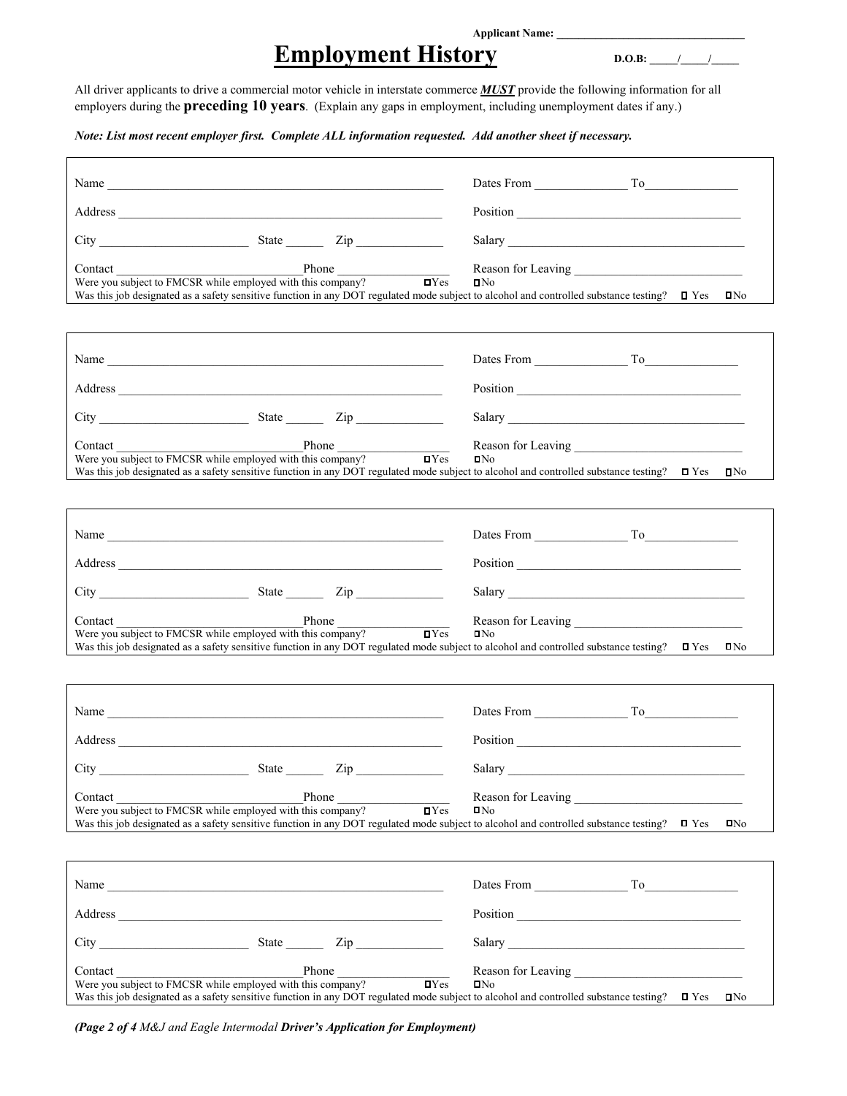#### **Applicant Name: \_\_\_\_\_\_\_\_\_\_\_\_\_\_\_\_\_\_\_\_\_\_\_\_\_\_\_\_\_\_\_\_\_\_**

## **Employment History** D.O.B: 1

All driver applicants to drive a commercial motor vehicle in interstate commerce *MUST* provide the following information for all employers during the **preceding 10 years**. (Explain any gaps in employment, including unemployment dates if any.)

*Note: List most recent employer first. Complete ALL information requested. Add another sheet if necessary.* 

| Contact              | Phone<br>Were you subject to FMCSR while employed with this company?                                                                                                                                                                                                                                                  | $\mathbf{I}$ Yes<br>IN <sub>0</sub><br>Was this job designated as a safety sensitive function in any DOT regulated mode subject to alcohol and controlled substance testing? $\Box$ Yes<br>IN <sub>0</sub>  |
|----------------------|-----------------------------------------------------------------------------------------------------------------------------------------------------------------------------------------------------------------------------------------------------------------------------------------------------------------------|-------------------------------------------------------------------------------------------------------------------------------------------------------------------------------------------------------------|
|                      |                                                                                                                                                                                                                                                                                                                       | Dates From To                                                                                                                                                                                               |
|                      |                                                                                                                                                                                                                                                                                                                       | Position                                                                                                                                                                                                    |
|                      |                                                                                                                                                                                                                                                                                                                       |                                                                                                                                                                                                             |
|                      | Contact Phone Phone<br>Were you subject to FMCSR while employed with this company?                                                                                                                                                                                                                                    | $\blacksquare$ Yes<br>IN <sub>0</sub><br>Was this job designated as a safety sensitive function in any DOT regulated mode subject to alcohol and controlled substance testing? $\Box$ Yes $\Box$ No         |
|                      |                                                                                                                                                                                                                                                                                                                       |                                                                                                                                                                                                             |
|                      |                                                                                                                                                                                                                                                                                                                       |                                                                                                                                                                                                             |
|                      | $City$ $City$ $Size$ $Zip$                                                                                                                                                                                                                                                                                            |                                                                                                                                                                                                             |
| Contact              | <b>Phone</b> Phone Phone Phone Phone Phone <b>D</b> Yes<br>Were you subject to FMCSR while employed with this company?                                                                                                                                                                                                | $I = Y$ es<br>IN <sub>0</sub><br>Was this job designated as a safety sensitive function in any DOT regulated mode subject to alcohol and controlled substance testing? $\Box$ Yes<br>$\mathbf{D}$ No        |
|                      |                                                                                                                                                                                                                                                                                                                       |                                                                                                                                                                                                             |
|                      | Address and the contract of the contract of the contract of the contract of the contract of the contract of the contract of the contract of the contract of the contract of the contract of the contract of the contract of th                                                                                        |                                                                                                                                                                                                             |
| $City$ <sub>__</sub> | $\frac{1}{2}$ State $\frac{1}{2}$ $\frac{1}{2}$ $\frac{1}{2}$ $\frac{1}{2}$ $\frac{1}{2}$ $\frac{1}{2}$ $\frac{1}{2}$ $\frac{1}{2}$ $\frac{1}{2}$ $\frac{1}{2}$ $\frac{1}{2}$ $\frac{1}{2}$ $\frac{1}{2}$ $\frac{1}{2}$ $\frac{1}{2}$ $\frac{1}{2}$ $\frac{1}{2}$ $\frac{1}{2}$ $\frac{1}{2}$ $\frac{1}{2}$ $\frac{1$ |                                                                                                                                                                                                             |
| Contact              | Phone<br>Were you subject to FMCSR while employed with this company?                                                                                                                                                                                                                                                  | IN <sub>0</sub><br>$\blacksquare$<br>Was this job designated as a safety sensitive function in any DOT regulated mode subject to alcohol and controlled substance testing? $\square$ Yes<br>IN <sub>0</sub> |
|                      |                                                                                                                                                                                                                                                                                                                       |                                                                                                                                                                                                             |
|                      |                                                                                                                                                                                                                                                                                                                       |                                                                                                                                                                                                             |
|                      | $City$ $City$ $Size$ $Zip$                                                                                                                                                                                                                                                                                            |                                                                                                                                                                                                             |
| Contact              | Phone<br>Contact Phone<br>Were you subject to FMCSR while employed with this company?                                                                                                                                                                                                                                 | $\mathbf{I}$ Yes<br>IN <sub>0</sub><br>Was this job designated as a safety sensitive function in any DOT regulated mode subject to alcohol and controlled substance testing? $\Box$ Yes<br>IN <sub>0</sub>  |

*(Page 2 of 4 M&J and Eagle Intermodal Driver's Application for Employment)*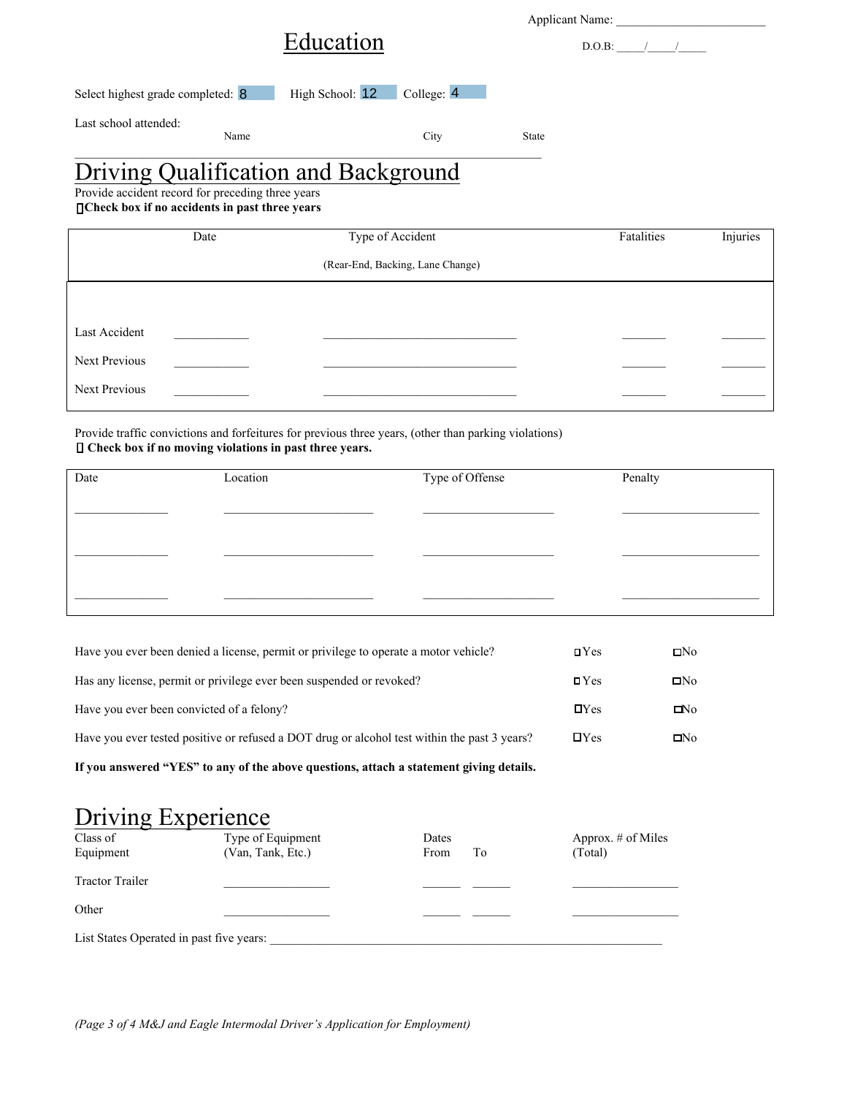|                                                                                                                                                     |                  |              | Applicant Name: |            |          |  |
|-----------------------------------------------------------------------------------------------------------------------------------------------------|------------------|--------------|-----------------|------------|----------|--|
| Education                                                                                                                                           |                  |              | D.O.B:          |            |          |  |
| High School: 12<br>Select highest grade completed: 8                                                                                                | College: 4       |              |                 |            |          |  |
| Last school attended:<br>Name                                                                                                                       | City             | <b>State</b> |                 |            |          |  |
| <b>Driving Qualification and Background</b><br>Provide accident record for preceding three years<br>□ Check box if no accidents in past three years |                  |              |                 |            |          |  |
| Date                                                                                                                                                | Type of Accident |              |                 | Fatalities | Injuries |  |

|                      |  | (Rear-End, Backing, Lane Change) |  |  |
|----------------------|--|----------------------------------|--|--|
|                      |  |                                  |  |  |
| Last Accident        |  |                                  |  |  |
| Next Previous        |  |                                  |  |  |
| <b>Next Previous</b> |  |                                  |  |  |

Provide traffic convictions and forfeitures for previous three years, (other than parking violations)  **Check box if no moving violations in past three years.**

| Date | Location | Type of Offense | Penalty |
|------|----------|-----------------|---------|
|      |          |                 |         |
|      |          |                 |         |
|      |          |                 |         |

| $\blacksquare$     | $\square$ No    |
|--------------------|-----------------|
| $\blacksquare$ Yes | IN <sub>0</sub> |
| $\mathbf{D}$ Yes   | $N_0$           |
| $\mathbf{D}$ Yes   | IN <sub>0</sub> |
|                    |                 |

**If you answered "YES" to any of the above questions, attach a statement giving details.** 

## **Driving Experience**

| Class of<br>Equipment                    | Type of Equipment<br>(Van, Tank, Etc.) | Dates<br>From | Tо | Approx. $#$ of Miles<br>(Total) |
|------------------------------------------|----------------------------------------|---------------|----|---------------------------------|
| <b>Tractor Trailer</b>                   |                                        |               |    |                                 |
| Other                                    |                                        |               |    |                                 |
| List States Operated in past five years: |                                        |               |    |                                 |

*(Page 3 of 4 M&J and Eagle Intermodal Driver's Application for Employment)*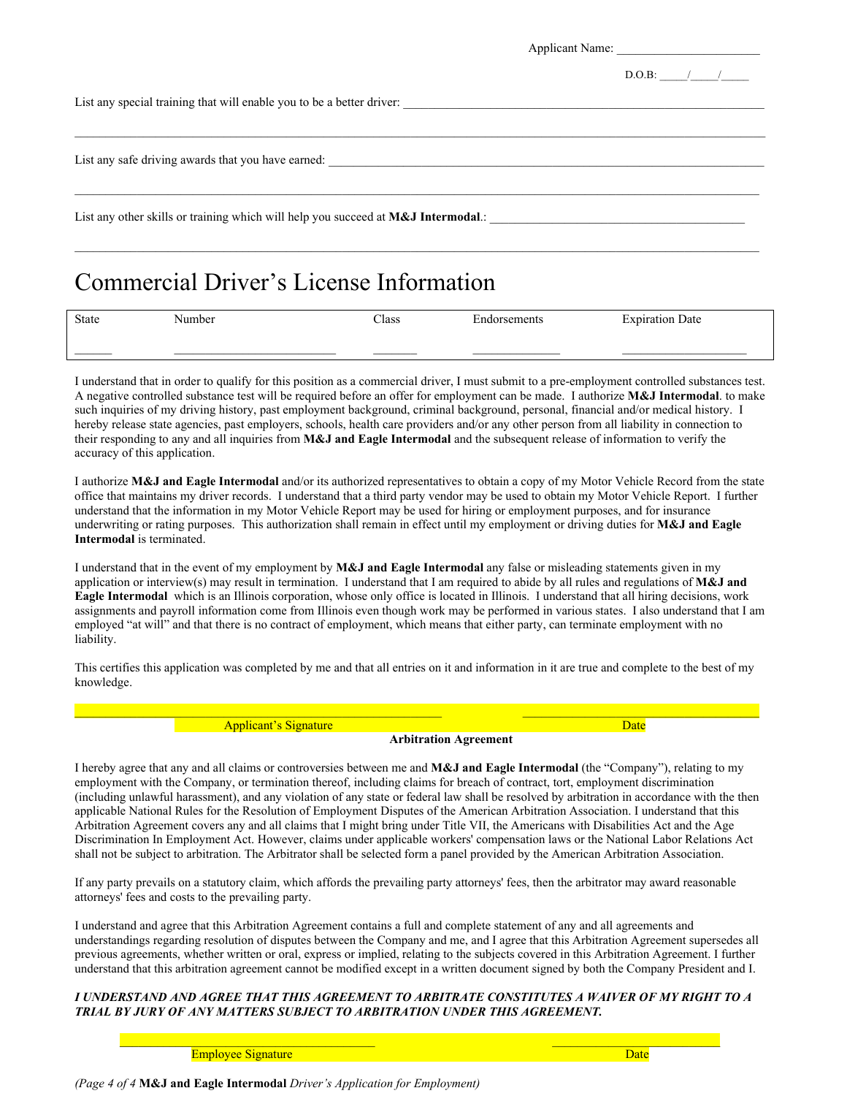|                                                                                      | Applicant Name: |
|--------------------------------------------------------------------------------------|-----------------|
|                                                                                      | $D.O.B:$ / /    |
| List any special training that will enable you to be a better driver:                |                 |
| List any safe driving awards that you have earned:                                   |                 |
| List any other skills or training which will help you succeed at $M\&J$ Intermodal.: |                 |

## Commercial Driver's License Information

| State | Number | Class | $\sim$<br>iorsements | T.<br>Date<br>Expiration |
|-------|--------|-------|----------------------|--------------------------|
|       |        |       |                      |                          |

I understand that in order to qualify for this position as a commercial driver, I must submit to a pre-employment controlled substances test. A negative controlled substance test will be required before an offer for employment can be made. I authorize **M&J Intermodal**. to make such inquiries of my driving history, past employment background, criminal background, personal, financial and/or medical history. I hereby release state agencies, past employers, schools, health care providers and/or any other person from all liability in connection to their responding to any and all inquiries from **M&J and Eagle Intermodal** and the subsequent release of information to verify the accuracy of this application.

I authorize **M&J and Eagle Intermodal** and/or its authorized representatives to obtain a copy of my Motor Vehicle Record from the state office that maintains my driver records. I understand that a third party vendor may be used to obtain my Motor Vehicle Report. I further understand that the information in my Motor Vehicle Report may be used for hiring or employment purposes, and for insurance underwriting or rating purposes. This authorization shall remain in effect until my employment or driving duties for **M&J and Eagle Intermodal** is terminated.

I understand that in the event of my employment by **M&J and Eagle Intermodal** any false or misleading statements given in my application or interview(s) may result in termination. I understand that I am required to abide by all rules and regulations of **M&J and Eagle Intermodal** which is an Illinois corporation, whose only office is located in Illinois. I understand that all hiring decisions, work assignments and payroll information come from Illinois even though work may be performed in various states. I also understand that I am employed "at will" and that there is no contract of employment, which means that either party, can terminate employment with no liability.

This certifies this application was completed by me and that all entries on it and information in it are true and complete to the best of my knowledge.

Applicant's Signature Date and Contract the Date Date of the Date Date Date

**Arbitration Agreement** 

I hereby agree that any and all claims or controversies between me and **M&J and Eagle Intermodal** (the "Company"), relating to my employment with the Company, or termination thereof, including claims for breach of contract, tort, employment discrimination (including unlawful harassment), and any violation of any state or federal law shall be resolved by arbitration in accordance with the then applicable National Rules for the Resolution of Employment Disputes of the American Arbitration Association. I understand that this Arbitration Agreement covers any and all claims that I might bring under Title VII, the Americans with Disabilities Act and the Age Discrimination In Employment Act. However, claims under applicable workers' compensation laws or the National Labor Relations Act shall not be subject to arbitration. The Arbitrator shall be selected form a panel provided by the American Arbitration Association.

If any party prevails on a statutory claim, which affords the prevailing party attorneys' fees, then the arbitrator may award reasonable attorneys' fees and costs to the prevailing party.

I understand and agree that this Arbitration Agreement contains a full and complete statement of any and all agreements and understandings regarding resolution of disputes between the Company and me, and I agree that this Arbitration Agreement supersedes all previous agreements, whether written or oral, express or implied, relating to the subjects covered in this Arbitration Agreement. I further understand that this arbitration agreement cannot be modified except in a written document signed by both the Company President and I.

#### *I UNDERSTAND AND AGREE THAT THIS AGREEMENT TO ARBITRATE CONSTITUTES A WAIVER OF MY RIGHT TO A TRIAL BY JURY OF ANY MATTERS SUBJECT TO ARBITRATION UNDER THIS AGREEMENT.*

\_\_\_\_\_\_\_\_\_\_\_\_\_\_\_\_\_\_\_\_\_\_\_\_\_\_\_\_\_\_\_\_\_\_\_\_\_\_\_\_\_ \_\_\_\_\_\_\_\_\_\_\_\_\_\_\_\_\_\_\_\_\_\_\_\_\_\_\_

Employee Signature Date and Date and Date and Date and Date and Date and Date and Date and Date and Date and Date and Date and Date and Date and Date and Date and Date and Date and Date and Date and Date and Date and Date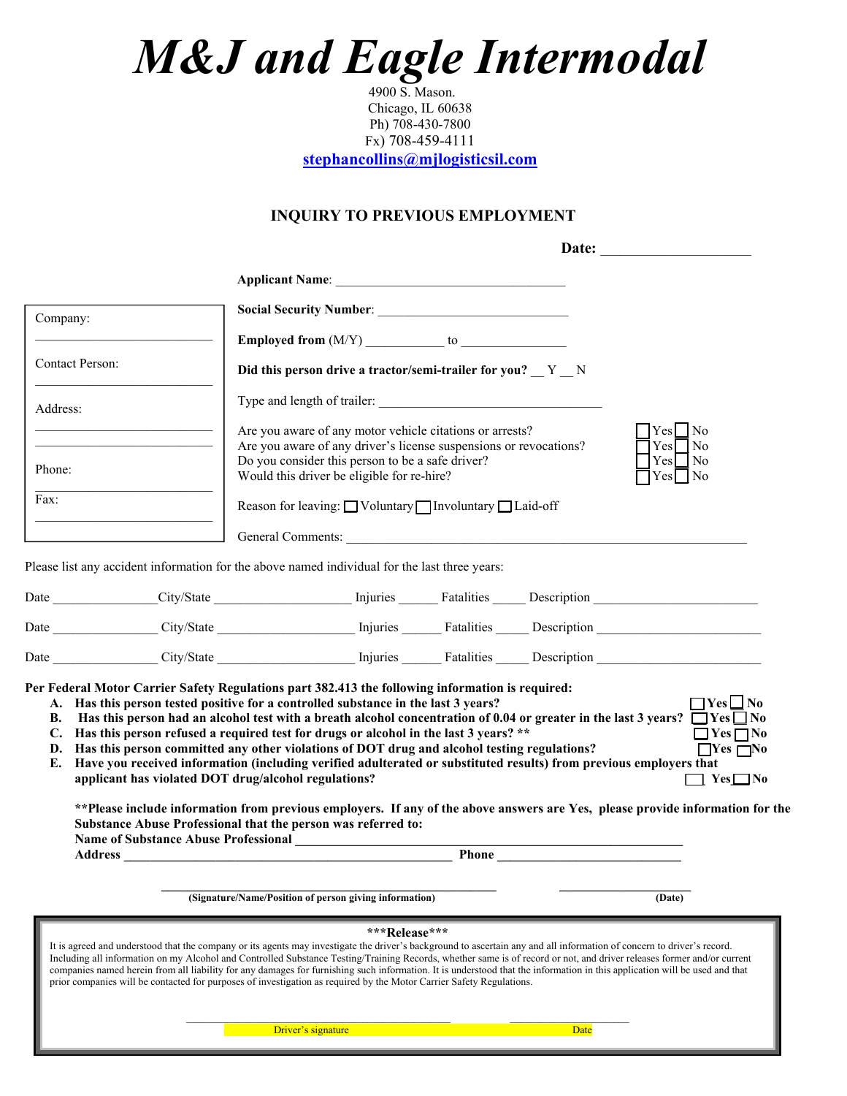# *M&J and Eagle Intermodal*

 4900 S. Mason. Chicago, IL 60638 Ph) 708-430-7800 Fx) 708-459-4111

**stephancollins@mjlogisticsil.com**

#### **INQUIRY TO PREVIOUS EMPLOYMENT**

| Company:                               |                                                                                                                                                                                                                                                                                                                                                                                                                                                                                                                                                                                                                                                                                                                                                                                                                                                                                                        |                                                                                                              |
|----------------------------------------|--------------------------------------------------------------------------------------------------------------------------------------------------------------------------------------------------------------------------------------------------------------------------------------------------------------------------------------------------------------------------------------------------------------------------------------------------------------------------------------------------------------------------------------------------------------------------------------------------------------------------------------------------------------------------------------------------------------------------------------------------------------------------------------------------------------------------------------------------------------------------------------------------------|--------------------------------------------------------------------------------------------------------------|
|                                        | <b>Employed from <math>(M/Y)</math></b> to $\qquad$                                                                                                                                                                                                                                                                                                                                                                                                                                                                                                                                                                                                                                                                                                                                                                                                                                                    |                                                                                                              |
| Contact Person:                        | Did this person drive a tractor/semi-trailer for you? Y N                                                                                                                                                                                                                                                                                                                                                                                                                                                                                                                                                                                                                                                                                                                                                                                                                                              |                                                                                                              |
| Address:                               | Type and length of trailer:                                                                                                                                                                                                                                                                                                                                                                                                                                                                                                                                                                                                                                                                                                                                                                                                                                                                            |                                                                                                              |
|                                        | Are you aware of any motor vehicle citations or arrests?<br>Are you aware of any driver's license suspensions or revocations?                                                                                                                                                                                                                                                                                                                                                                                                                                                                                                                                                                                                                                                                                                                                                                          | Yes No<br>$Yes \Box No$                                                                                      |
| Phone:                                 | Do you consider this person to be a safe driver?<br>Would this driver be eligible for re-hire?                                                                                                                                                                                                                                                                                                                                                                                                                                                                                                                                                                                                                                                                                                                                                                                                         | $\gamma$ es $\Box$ No<br>Yes No                                                                              |
| Fax:                                   | Reason for leaving: $\Box$ Voluntary $\Box$ Involuntary $\Box$ Laid-off                                                                                                                                                                                                                                                                                                                                                                                                                                                                                                                                                                                                                                                                                                                                                                                                                                |                                                                                                              |
|                                        | General Comments:                                                                                                                                                                                                                                                                                                                                                                                                                                                                                                                                                                                                                                                                                                                                                                                                                                                                                      |                                                                                                              |
|                                        | Please list any accident information for the above named individual for the last three years:                                                                                                                                                                                                                                                                                                                                                                                                                                                                                                                                                                                                                                                                                                                                                                                                          |                                                                                                              |
|                                        |                                                                                                                                                                                                                                                                                                                                                                                                                                                                                                                                                                                                                                                                                                                                                                                                                                                                                                        |                                                                                                              |
|                                        |                                                                                                                                                                                                                                                                                                                                                                                                                                                                                                                                                                                                                                                                                                                                                                                                                                                                                                        |                                                                                                              |
|                                        |                                                                                                                                                                                                                                                                                                                                                                                                                                                                                                                                                                                                                                                                                                                                                                                                                                                                                                        |                                                                                                              |
|                                        |                                                                                                                                                                                                                                                                                                                                                                                                                                                                                                                                                                                                                                                                                                                                                                                                                                                                                                        |                                                                                                              |
| В.<br>C.<br>D.<br>E.<br><b>Address</b> | Per Federal Motor Carrier Safety Regulations part 382.413 the following information is required:<br>A. Has this person tested positive for a controlled substance in the last 3 years?<br>Has this person had an alcohol test with a breath alcohol concentration of 0.04 or greater in the last 3 years? $\Box$ Yes $\Box$ No<br>Has this person refused a required test for drugs or alcohol in the last 3 years? **<br>Has this person committed any other violations of DOT drug and alcohol testing regulations?<br>Have you received information (including verified adulterated or substituted results) from previous employers that<br>applicant has violated DOT drug/alcohol regulations?<br>** Please include information from previous employers. If any of the above answers are Yes, please provide information for the<br>Substance Abuse Professional that the person was referred to: | $\Box$ Yes $\Box$ No<br>$\Box$ Yes $\Box$ No<br>$\Box$ Yes $\Box$ No<br>$\blacksquare$ Yes $\blacksquare$ No |
|                                        |                                                                                                                                                                                                                                                                                                                                                                                                                                                                                                                                                                                                                                                                                                                                                                                                                                                                                                        |                                                                                                              |
|                                        | (Signature/Name/Position of person giving information)                                                                                                                                                                                                                                                                                                                                                                                                                                                                                                                                                                                                                                                                                                                                                                                                                                                 | (Date)                                                                                                       |
|                                        | ***Release***<br>It is agreed and understood that the company or its agents may investigate the driver's background to ascertain any and all information of concern to driver's record.<br>Including all information on my Alcohol and Controlled Substance Testing/Training Records, whether same is of record or not, and driver releases former and/or current<br>companies named herein from all liability for any damages for furnishing such information. It is understood that the information in this application will be used and that<br>prior companies will be contacted for purposes of investigation as required by the Motor Carrier Safety Regulations.                                                                                                                                                                                                                                |                                                                                                              |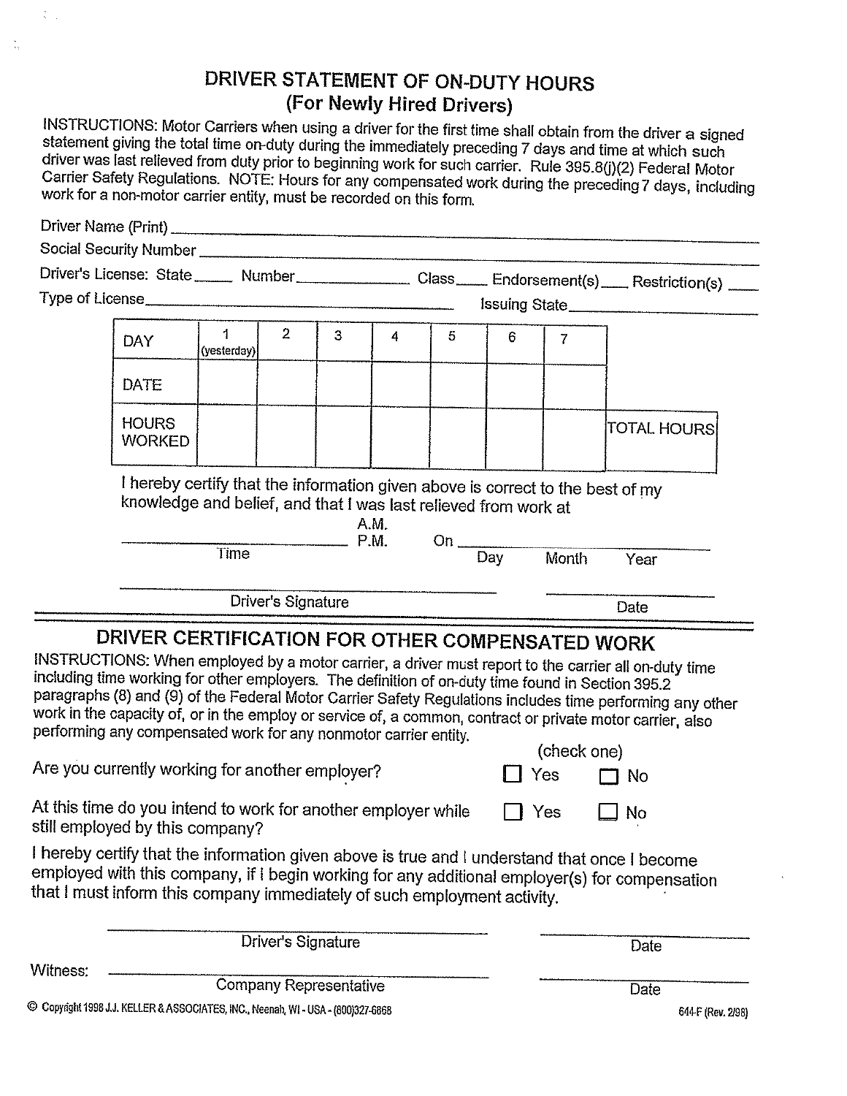## DRIVER STATEMENT OF ON-DUTY HOURS (For Newly Hired Drivers)

INSTRUCTIONS: Motor Carriers when using a driver for the first time shall obtain from the driver a signed statement giving the total time on-duty during the immediately preceding 7 days and time at which such driver was last relieved from duty prior to beginning work for such carrier. Rule 395.8(j)(2) Federal Motor Carrier Safety Regulations. NOTE: Hours for any compensated work during the preceding 7 days, including work for a non-motor carrier entity, must be recorded on this form.

|          |                                                                                                                                                                                                                          |                  |                    |                               |      |                  |     |                | Driver's License: State _____ Number _____________ Class ____ Endorsement(s) ___ Restriction(s) ___                                                                                                                                                                                                                             |  |
|----------|--------------------------------------------------------------------------------------------------------------------------------------------------------------------------------------------------------------------------|------------------|--------------------|-------------------------------|------|------------------|-----|----------------|---------------------------------------------------------------------------------------------------------------------------------------------------------------------------------------------------------------------------------------------------------------------------------------------------------------------------------|--|
|          |                                                                                                                                                                                                                          |                  |                    |                               |      |                  |     |                |                                                                                                                                                                                                                                                                                                                                 |  |
|          | <b>DAY</b>                                                                                                                                                                                                               | 1<br>(yesterday) | 2 <sup>1</sup>     | 3                             | 4    | 5                | 6   | $\overline{7}$ |                                                                                                                                                                                                                                                                                                                                 |  |
|          | DATE                                                                                                                                                                                                                     |                  |                    |                               |      |                  |     |                |                                                                                                                                                                                                                                                                                                                                 |  |
|          | <b>HOURS</b><br><b>WORKED</b>                                                                                                                                                                                            |                  |                    |                               |      |                  |     |                | <b>TOTAL HOURS</b>                                                                                                                                                                                                                                                                                                              |  |
|          | I hereby certify that the information given above is correct to the best of my<br>knowledge and belief, and that I was last relieved from work at                                                                        |                  |                    | $-$ P.M.                      | A.M. | On $\frac{1}{2}$ |     |                |                                                                                                                                                                                                                                                                                                                                 |  |
|          |                                                                                                                                                                                                                          | Time             |                    |                               |      |                  | Day | Month          | Year                                                                                                                                                                                                                                                                                                                            |  |
|          |                                                                                                                                                                                                                          |                  | Driver's Signature |                               |      |                  |     |                | Date                                                                                                                                                                                                                                                                                                                            |  |
|          | DRIVER CERTIFICATION FOR OTHER COMPENSATED WORK<br>including time working for other employers. The definition of on-duty time found in Section 395.2<br>performing any compensated work for any nonmotor carrier entity. |                  |                    |                               |      |                  |     | (check one)    | INSTRUCTIONS: When employed by a motor carrier, a driver must report to the carrier all on-duty time<br>paragraphs (8) and (9) of the Federal Motor Carrier Safety Regulations includes time performing any other<br>work in the capacity of, or in the employ or service of, a common, contract or private motor carrier, also |  |
|          | Are you currently working for another employer?                                                                                                                                                                          |                  |                    |                               |      |                  |     | Yes            | $\Box$ No                                                                                                                                                                                                                                                                                                                       |  |
|          | At this time do you intend to work for another employer while<br>still employed by this company?                                                                                                                         |                  |                    |                               |      |                  |     | Yes            | No                                                                                                                                                                                                                                                                                                                              |  |
|          | that I must inform this company immediately of such employment activity.                                                                                                                                                 |                  |                    |                               |      |                  |     |                | I hereby certify that the information given above is true and I understand that once I become<br>employed with this company, if I begin working for any additional employer(s) for compensation                                                                                                                                 |  |
|          |                                                                                                                                                                                                                          |                  | Driver's Signature |                               |      |                  |     |                | Date                                                                                                                                                                                                                                                                                                                            |  |
| Witness: |                                                                                                                                                                                                                          |                  |                    | <b>Company Representative</b> |      |                  |     |                | Date                                                                                                                                                                                                                                                                                                                            |  |

© Copyright 1998 J.J. KELLER & ASSOCIATES, INC., Neenah, WI - USA - (800)327-6868

 $\ddot{\ddot{\phantom{}}}$ 

 $\frac{8}{3}$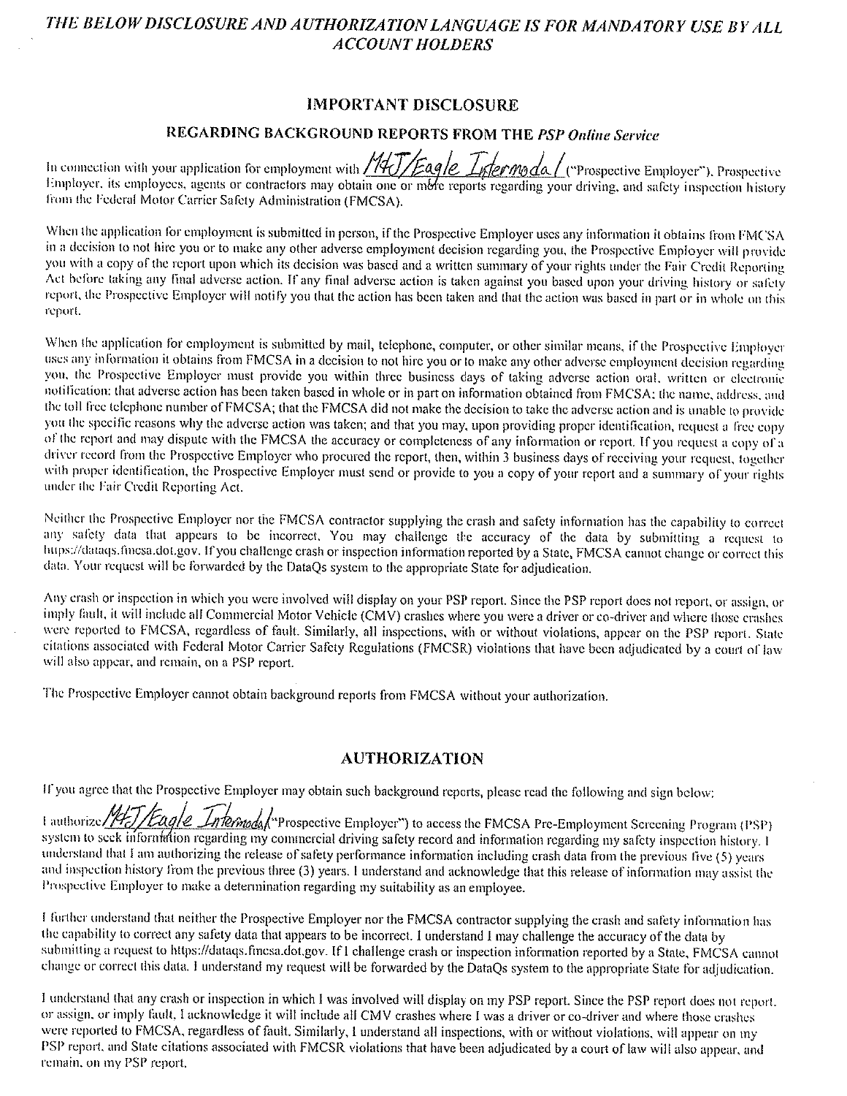## THE BELOW DISCLOSURE AND AUTHORIZATION LANGUAGE IS FOR MANDATORY USE BY ALL **ACCOUNT HOLDERS**

#### **IMPORTANT DISCLOSURE**

#### REGARDING BACKGROUND REPORTS FROM THE PSP Online Service

In connection with your application for employment with *Millengle Lytermoda* / ("Prospective Employer"), Prospective<br>Employer, its employees, agents or contractors may obtain one or more reports regarding your driving, an from the Federal Motor Carrier Safety Administration (FMCSA).

When the application for employment is submitted in person, if the Prospective Employer uses any information it obtains from FMCSA in a decision to not hire you or to make any other adverse employment decision regarding you, the Prospective Employer will provide you with a copy of the report upon which its decision was based and a written summary of your rights under the Fair Credit Reporting Act before taking any final adverse action. If any final adverse action is taken against you based upon your driving history or safety report, the Prospective Employer will notify you that the action has been taken and that the action was based in part or in whole on this report.

When the application for employment is submitted by mail, telephone, computer, or other similar means, if the Prospective Employer uses any information it obtains from FMCSA in a decision to not hire you or to make any other adverse employment decision regarding you, the Prospective Employer must provide you within three business days of taking adverse action oral, written or electronic notification: that adverse action has been taken based in whole or in part on information obtained from FMCSA; the name, address, and the toll free telephone number of FMCSA; that the FMCSA did not make the decision to take the adverse action and is unable to provide you the specific reasons why the adverse action was taken; and that you may, upon providing proper identification, request a free copy of the report and may dispute with the FMCSA the accuracy or completeness of any information or report. If you request a copy of a driver record from the Prospective Employer who procured the report, then, within 3 business days of receiving your request, together with proper identification, the Prospective Employer must send or provide to you a copy of your report and a summary of your rights under the Fair Credit Reporting Act.

Neither the Prospective Employer nor the FMCSA contractor supplying the crash and safety information has the capability to correct any safety data that appears to be incorrect. You may challenge the accuracy of the data by submitting a request to https://dataqs.fmcsa.dot.gov. If you challenge crash or inspection information reported by a State, FMCSA cannot change or correct this data. Your request will be forwarded by the DataQs system to the appropriate State for adjudication.

Any crash or inspection in which you were involved will display on your PSP report. Since the PSP report does not report, or assign, or imply fault, it will include all Commercial Motor Vehicle (CMV) crashes where you were a driver or co-driver and where those crashes were reported to FMCSA, regardless of fault. Similarly, all inspections, with or without violations, appear on the PSP report. State citations associated with Federal Motor Carrier Safety Regulations (FMCSR) violations that have been adjudicated by a court of law will also appear, and remain, on a PSP report.

The Prospective Employer cannot obtain background reports from FMCSA without your authorization.

#### **AUTHORIZATION**

If you agree that the Prospective Employer may obtain such background reports, please read the following and sign below:

1 authorize //HJ/Eagle Intermodal Prospective Employer") to access the FMCSA Pre-Employment Screening Program (PSP) system to seek information regarding my commercial driving safety record and information regarding my safety inspection history. I understand that I am authorizing the release of safety performance information including crash data from the previous five (5) years and inspection history from the previous three (3) years. I understand and acknowledge that this release of information may assist the Prospective Employer to make a determination regarding my suitability as an employee.

I further understand that neither the Prospective Employer nor the FMCSA contractor supplying the crash and safety information has the capability to correct any safety data that appears to be incorrect. I understand I may challenge the accuracy of the data by submitting a request to https://dataqs.fmcsa.dot.gov. If I challenge crash or inspection information reported by a State, FMCSA cannot change or correct this data. I understand my request will be forwarded by the DataQs system to the appropriate State for adjudication.

I understand that any crash or inspection in which I was involved will display on my PSP report. Since the PSP report does not report. or assign, or imply fault. I acknowledge it will include all CMV crashes where I was a driver or co-driver and where those crashes were reported to FMCSA, regardless of fault. Similarly, I understand all inspections, with or without violations, will appear on my PSP report, and State citations associated with FMCSR violations that have been adjudicated by a court of law will also appear, and remain, on my PSP report.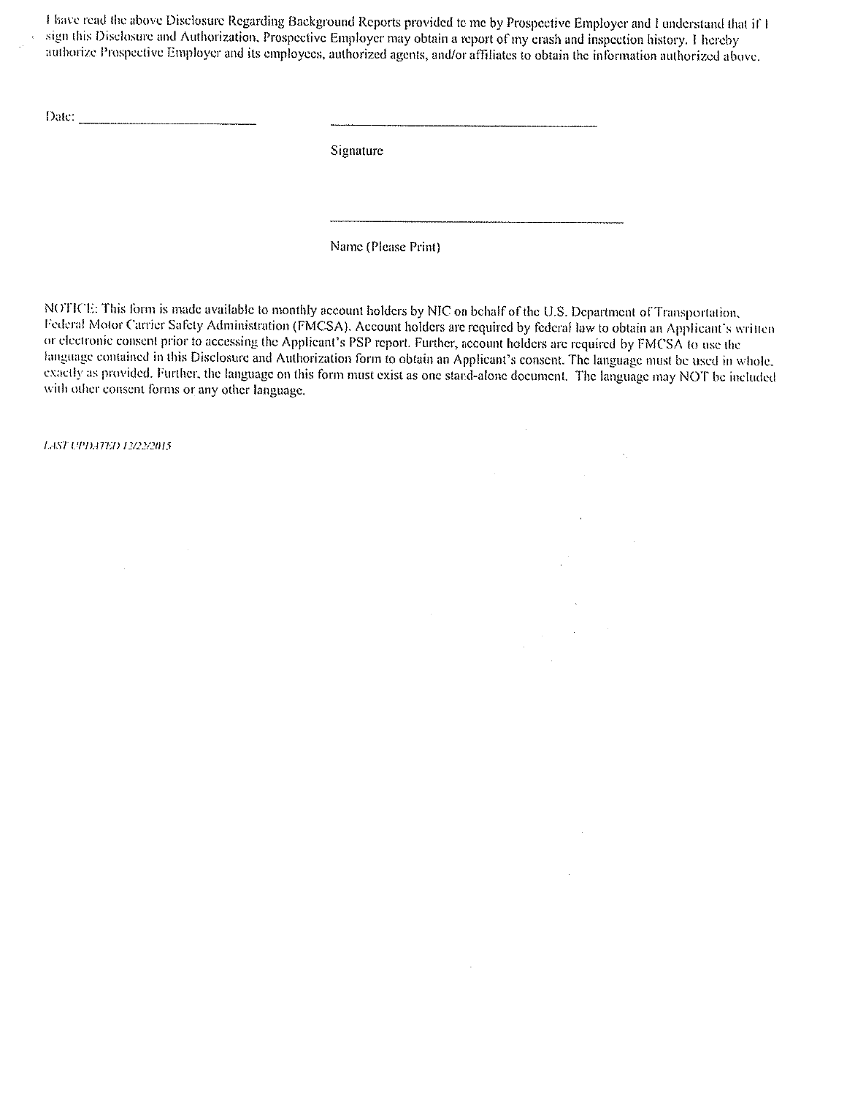I have read the above Disclosure Regarding Background Reports provided to me by Prospective Employer and I understand that if I sign this Disclosure and Authorization, Prospective Employer may obtain a report of my crash and inspection history. I hereby authorize Prospective Employer and its employees, authorized agents, and/or affiliates to obtain the information authorized above.

Date:

Signature

Name (Please Print)

NOTICE: This form is made available to monthly account holders by NIC on behalf of the U.S. Department of Transportation, Federal Motor Carrier Safety Administration (FMCSA). Account holders are required by federal law to obtain an Applicant's written or electronic consent prior to accessing the Applicant's PSP report. Further, account holders are required by FMCSA to use the language contained in this Disclosure and Authorization form to obtain an Applicant's consent. The language must be used in whole, exactly as provided. Further, the language on this form must exist as one stand-alone document. The language may NOT be included with other consent forms or any other language.

 $\cdot$ 

 $\chi^2$ 

 $\hat{\mathcal{A}}$ 

LAST UPDATED 12/22/2015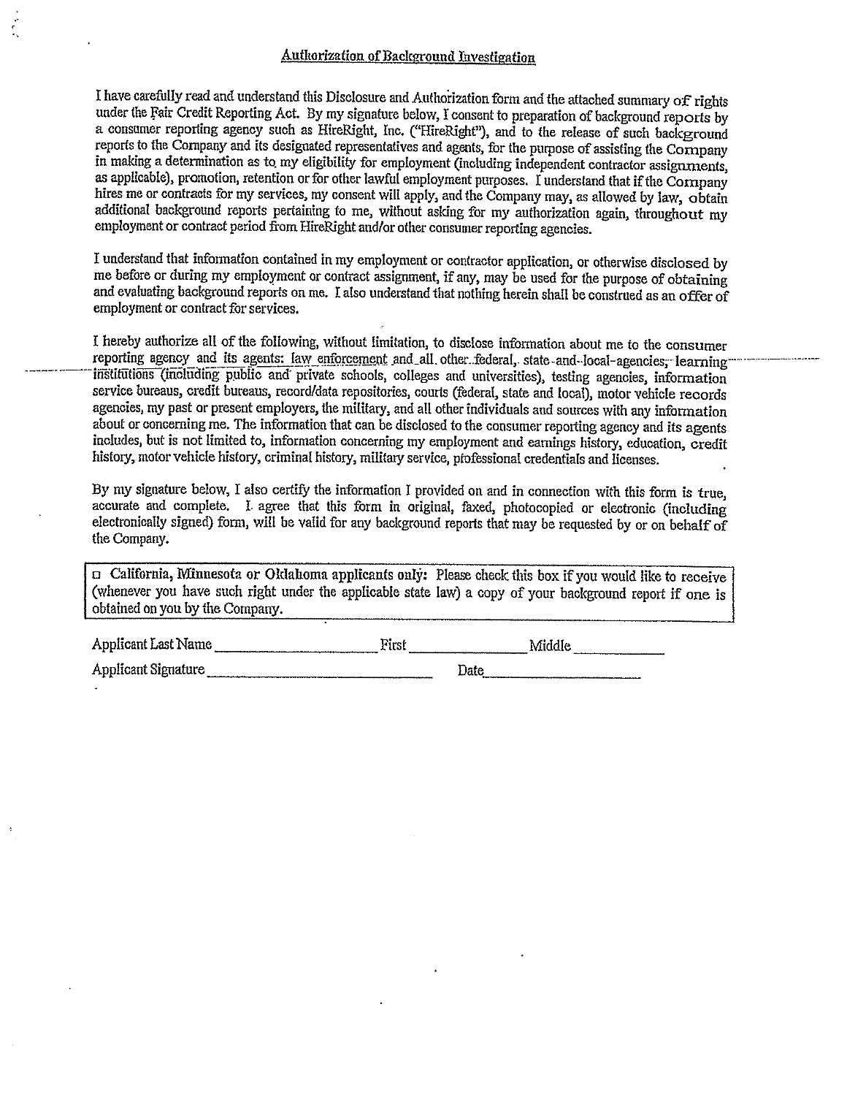I have carefully read and understand this Disclosure and Authorization form and the attached summary of rights under the Fair Credit Reporting Act. By my signature below, I consent to preparation of background reports by a consumer reporting agency such as HireRight, Inc. ("HireRight"), and to the release of such background reports to the Company and its designated representatives and agents, for the purpose of assisting the Company in making a determination as to my eligibility for employment (including independent contractor assignments, as applicable), promotion, retention or for other lawful employment purposes. I understand that if the Cornpany hires me or contracts for my services, my consent will apply, and the Company may, as allowed by law, obtain additional background reports pertaining to me, without asking for my authorization again, throughout my employment or contract period from HireRight and/or other consumer reporting agencies.

I understand that information contained in my employment or contractor application, or otherwise disclosed by me before or during my employment or contract assignment, if any, may be used for the purpose of obtaining and evaluating background reports on me. I also understand that nothing herein shall be construed as an offer of employment or contract for services.

I hereby authorize all of the following, without limitation, to disclose information about me to the consumer reporting agency and its agents: law enforcement and all other federal, state and local agencies, learning institutions (including public and private schools, colleges and universities), testing agencies, information service bureaus, credit bureaus, record/data repositories, courts (federal, state and local), motor vehicle records agencies, my past or present employers, the military, and all other individuals and sources with any information about or concerning me. The information that can be disclosed to the consumer reporting agency and its agents includes, but is not limited to, information concerning my employment and earnings history, education, credit history, motor vehicle history, criminal history, military service, professional credentials and licenses.

By my signature below, I also certify the information I provided on and in connection with this form is true, accurate and complete. I agree that this form in original, faxed, photocopied or electronic (including electronically signed) form, will be valid for any background reports that may be requested by or on behalf of the Company.

D California, Minnesota or Oklahoma applicants only: Please check this box if you would like to receive (whenever you have such right under the applicable state law) a copy of your background report if one is obtained on you by the Company.

| Applicant Last Name        | First | Middle |
|----------------------------|-------|--------|
| <b>Applicant Signature</b> | Date  |        |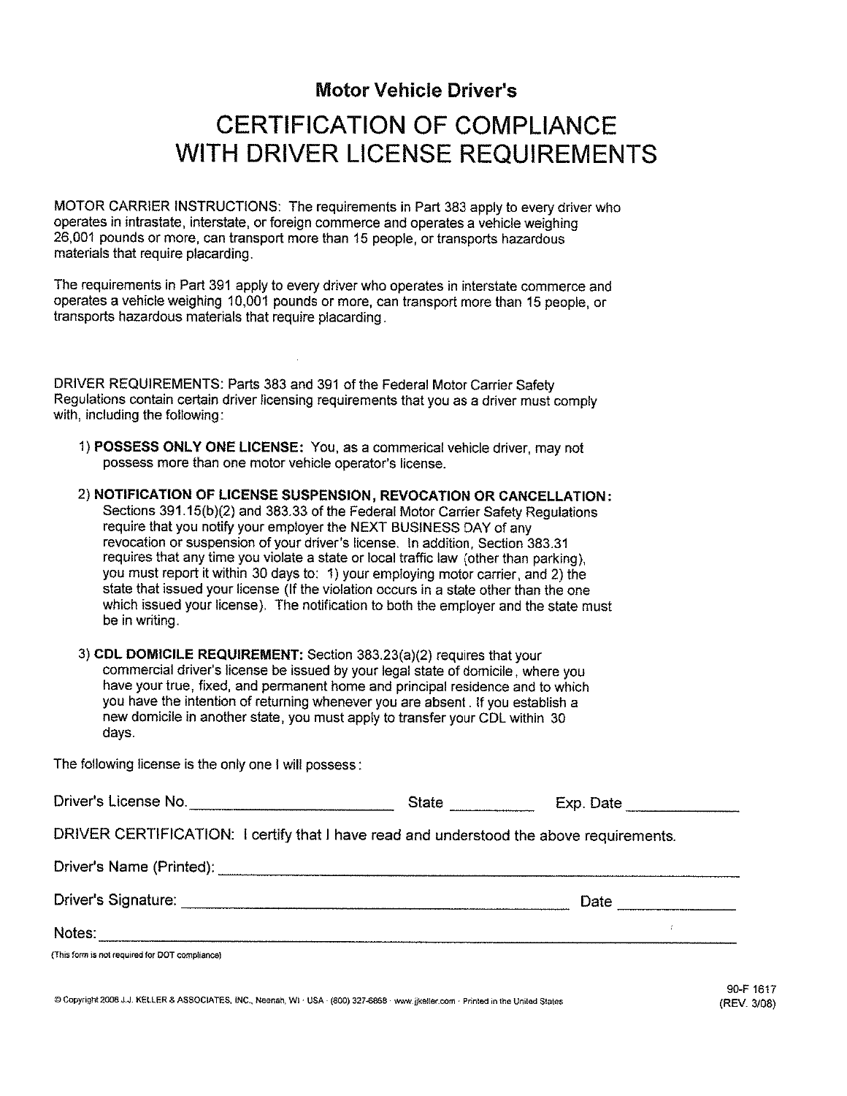## **Motor Vehicle Driver's**

## **CERTIFICATION OF COMPLIANCE** WITH DRIVER LICENSE REQUIREMENTS

MOTOR CARRIER INSTRUCTIONS: The requirements in Part 383 apply to every driver who operates in intrastate, interstate, or foreign commerce and operates a vehicle weighing 26,001 pounds or more, can transport more than 15 people, or transports hazardous materials that require placarding.

The requirements in Part 391 apply to every driver who operates in interstate commerce and operates a vehicle weighing 10,001 pounds or more, can transport more than 15 people, or transports hazardous materials that require placarding.

DRIVER REQUIREMENTS: Parts 383 and 391 of the Federal Motor Carrier Safety Regulations contain certain driver licensing requirements that you as a driver must comply with, including the following:

1) POSSESS ONLY ONE LICENSE: You, as a commerical vehicle driver, may not possess more than one motor vehicle operator's license.

2) NOTIFICATION OF LICENSE SUSPENSION, REVOCATION OR CANCELLATION: Sections 391.15(b)(2) and 383.33 of the Federal Motor Carrier Safety Regulations require that you notify your employer the NEXT BUSINESS DAY of any revocation or suspension of your driver's license. In addition, Section 383.31 requires that any time you violate a state or local traffic law (other than parking). you must report it within 30 days to: 1) your employing motor carrier, and 2) the state that issued your license (If the violation occurs in a state other than the one which issued your license). The notification to both the employer and the state must be in writing.

3) CDL DOMICILE REQUIREMENT: Section 383.23(a)(2) requires that your commercial driver's license be issued by your legal state of domicile, where you have your true, fixed, and permanent home and principal residence and to which you have the intention of returning whenever you are absent. If you establish a new domicile in another state, you must apply to transfer your CDL within 30 davs.

The following license is the only one I will possess:

| Driver's License No.                                                                    | <b>State</b> | Exp. Date |  |
|-----------------------------------------------------------------------------------------|--------------|-----------|--|
| DRIVER CERTIFICATION: I certify that I have read and understood the above requirements. |              |           |  |
|                                                                                         |              |           |  |
| Driver's Signature:                                                                     |              | Date      |  |
| Notes:                                                                                  |              |           |  |
| (This form is not required for DOT compliance)                                          |              |           |  |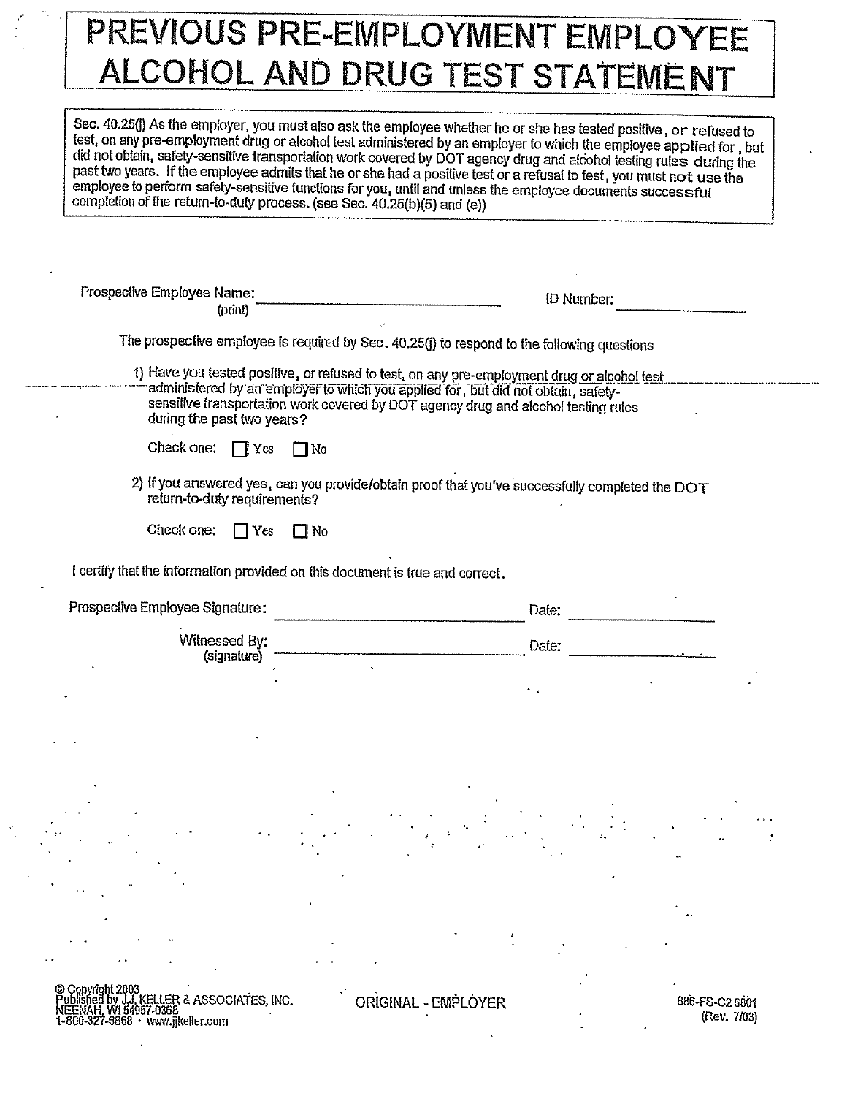# PREVIOUS PRE-EMPLOYMENT EMPLOYEE ALCOHOL AND DRUG TEST STATEMENT

Sec. 40.25(j) As the employer, you must also ask the employee whether he or she has tested positive, or refused to test, on any pre-employment drug or alcohol test administered by an employer to which the employee applied for, but did not obtain, safety-sensitive transportation work covered by DOT agency drug and alcohol testing rules during the past two years. If the employee admits that he or she had a positive test or a refusal to test, you must not use the employee to perform safety-sensitive functions for you, until and unless the employee documents successful completion of the return-to-duty process. (see Sec. 40.25(b)(5) and (e))

| Prospective Employee Name:<br>(print)                                         |                                                                                                                                                                                                                                                                        | <b>ID Number:</b> |  |  |
|-------------------------------------------------------------------------------|------------------------------------------------------------------------------------------------------------------------------------------------------------------------------------------------------------------------------------------------------------------------|-------------------|--|--|
|                                                                               | The prospective employee is required by Sec. 40.25(j) to respond to the following questions                                                                                                                                                                            |                   |  |  |
| during the past two years?                                                    | 1) Have you tested positive, or refused to test, on any pre-employment drug or alcohol test<br>administered by an employer to which you applied for, but did not obtain, safety-<br>sensitive transportation work covered by DOT agency drug and alcohol testing rules |                   |  |  |
| Check one:<br>$\Box$ Yes                                                      | $\square$ No                                                                                                                                                                                                                                                           |                   |  |  |
| return-to-duty requirements?                                                  | 2) If you answered yes, can you provide/obtain proof that you've successfully completed the DOT                                                                                                                                                                        |                   |  |  |
| Check one:<br>$\prod$ Yes                                                     | $\square$ No                                                                                                                                                                                                                                                           |                   |  |  |
|                                                                               |                                                                                                                                                                                                                                                                        |                   |  |  |
|                                                                               |                                                                                                                                                                                                                                                                        |                   |  |  |
| I certify that the information provided on this document is true and correct. |                                                                                                                                                                                                                                                                        |                   |  |  |
| Prospective Employee Signature:                                               |                                                                                                                                                                                                                                                                        | Date.             |  |  |
| Witnessed By:                                                                 |                                                                                                                                                                                                                                                                        | Date:             |  |  |
| (signature)                                                                   |                                                                                                                                                                                                                                                                        |                   |  |  |
|                                                                               |                                                                                                                                                                                                                                                                        |                   |  |  |
|                                                                               |                                                                                                                                                                                                                                                                        |                   |  |  |
|                                                                               |                                                                                                                                                                                                                                                                        |                   |  |  |
|                                                                               |                                                                                                                                                                                                                                                                        |                   |  |  |
|                                                                               |                                                                                                                                                                                                                                                                        |                   |  |  |